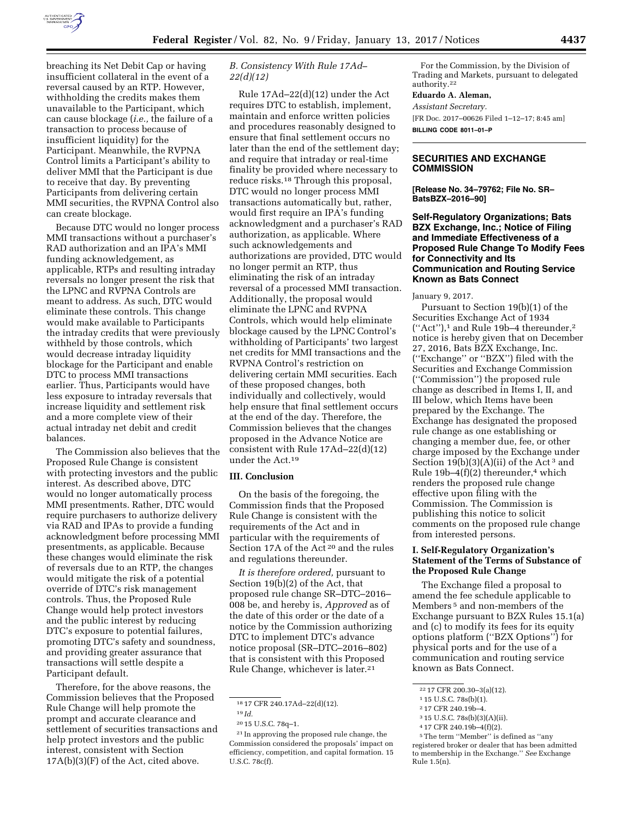

breaching its Net Debit Cap or having insufficient collateral in the event of a reversal caused by an RTP. However, withholding the credits makes them unavailable to the Participant, which can cause blockage (*i.e.,* the failure of a transaction to process because of insufficient liquidity) for the Participant. Meanwhile, the RVPNA Control limits a Participant's ability to deliver MMI that the Participant is due to receive that day. By preventing Participants from delivering certain MMI securities, the RVPNA Control also can create blockage.

Because DTC would no longer process MMI transactions without a purchaser's RAD authorization and an IPA's MMI funding acknowledgement, as applicable, RTPs and resulting intraday reversals no longer present the risk that the LPNC and RVPNA Controls are meant to address. As such, DTC would eliminate these controls. This change would make available to Participants the intraday credits that were previously withheld by those controls, which would decrease intraday liquidity blockage for the Participant and enable DTC to process MMI transactions earlier. Thus, Participants would have less exposure to intraday reversals that increase liquidity and settlement risk and a more complete view of their actual intraday net debit and credit balances.

The Commission also believes that the Proposed Rule Change is consistent with protecting investors and the public interest. As described above, DTC would no longer automatically process MMI presentments. Rather, DTC would require purchasers to authorize delivery via RAD and IPAs to provide a funding acknowledgment before processing MMI presentments, as applicable. Because these changes would eliminate the risk of reversals due to an RTP, the changes would mitigate the risk of a potential override of DTC's risk management controls. Thus, the Proposed Rule Change would help protect investors and the public interest by reducing DTC's exposure to potential failures, promoting DTC's safety and soundness, and providing greater assurance that transactions will settle despite a Participant default.

Therefore, for the above reasons, the Commission believes that the Proposed Rule Change will help promote the prompt and accurate clearance and settlement of securities transactions and help protect investors and the public interest, consistent with Section  $17A(b)(3)(F)$  of the Act, cited above.

# *B. Consistency With Rule 17Ad– 22(d)(12)*

Rule 17Ad–22(d)(12) under the Act requires DTC to establish, implement, maintain and enforce written policies and procedures reasonably designed to ensure that final settlement occurs no later than the end of the settlement day; and require that intraday or real-time finality be provided where necessary to reduce risks.18 Through this proposal, DTC would no longer process MMI transactions automatically but, rather, would first require an IPA's funding acknowledgment and a purchaser's RAD authorization, as applicable. Where such acknowledgements and authorizations are provided, DTC would no longer permit an RTP, thus eliminating the risk of an intraday reversal of a processed MMI transaction. Additionally, the proposal would eliminate the LPNC and RVPNA Controls, which would help eliminate blockage caused by the LPNC Control's withholding of Participants' two largest net credits for MMI transactions and the RVPNA Control's restriction on delivering certain MMI securities. Each of these proposed changes, both individually and collectively, would help ensure that final settlement occurs at the end of the day. Therefore, the Commission believes that the changes proposed in the Advance Notice are consistent with Rule 17Ad–22(d)(12) under the Act.19

#### **III. Conclusion**

On the basis of the foregoing, the Commission finds that the Proposed Rule Change is consistent with the requirements of the Act and in particular with the requirements of Section 17A of the Act 20 and the rules and regulations thereunder.

*It is therefore ordered,* pursuant to Section 19(b)(2) of the Act, that proposed rule change SR–DTC–2016– 008 be, and hereby is, *Approved* as of the date of this order or the date of a notice by the Commission authorizing DTC to implement DTC's advance notice proposal (SR–DTC–2016–802) that is consistent with this Proposed Rule Change, whichever is later.21

For the Commission, by the Division of Trading and Markets, pursuant to delegated authority.22

## **Eduardo A. Aleman,**

*Assistant Secretary.* 

[FR Doc. 2017–00626 Filed 1–12–17; 8:45 am] **BILLING CODE 8011–01–P** 

## **SECURITIES AND EXCHANGE COMMISSION**

**[Release No. 34–79762; File No. SR– BatsBZX–2016–90]** 

**Self-Regulatory Organizations; Bats BZX Exchange, Inc.; Notice of Filing and Immediate Effectiveness of a Proposed Rule Change To Modify Fees for Connectivity and Its Communication and Routing Service Known as Bats Connect** 

#### January 9, 2017.

Pursuant to Section 19(b)(1) of the Securities Exchange Act of 1934  $("Act")$ ,<sup>1</sup> and Rule 19b-4 thereunder,<sup>2</sup> notice is hereby given that on December 27, 2016, Bats BZX Exchange, Inc. (''Exchange'' or ''BZX'') filed with the Securities and Exchange Commission (''Commission'') the proposed rule change as described in Items I, II, and III below, which Items have been prepared by the Exchange. The Exchange has designated the proposed rule change as one establishing or changing a member due, fee, or other charge imposed by the Exchange under Section  $19(b)(3)(A)(ii)$  of the Act<sup>3</sup> and Rule 19b-4 $(f)(2)$  thereunder,<sup>4</sup> which renders the proposed rule change effective upon filing with the Commission. The Commission is publishing this notice to solicit comments on the proposed rule change from interested persons.

## **I. Self-Regulatory Organization's Statement of the Terms of Substance of the Proposed Rule Change**

The Exchange filed a proposal to amend the fee schedule applicable to Members<sup>5</sup> and non-members of the Exchange pursuant to BZX Rules 15.1(a) and (c) to modify its fees for its equity options platform (''BZX Options'') for physical ports and for the use of a communication and routing service known as Bats Connect.

<sup>18</sup> 17 CFR 240.17Ad–22(d)(12).

<sup>19</sup> *Id.* 

<sup>20</sup> 15 U.S.C. 78q–1.

<sup>21</sup> In approving the proposed rule change, the Commission considered the proposals' impact on efficiency, competition, and capital formation. 15 U.S.C. 78c(f).

<sup>22</sup> 17 CFR 200.30–3(a)(12).

<sup>1</sup> 15 U.S.C. 78s(b)(1).

<sup>2</sup> 17 CFR 240.19b–4.

<sup>3</sup> 15 U.S.C. 78s(b)(3)(A)(ii).

<sup>4</sup> 17 CFR 240.19b–4(f)(2).

<sup>5</sup>The term ''Member'' is defined as ''any registered broker or dealer that has been admitted to membership in the Exchange.'' *See* Exchange Rule 1.5(n).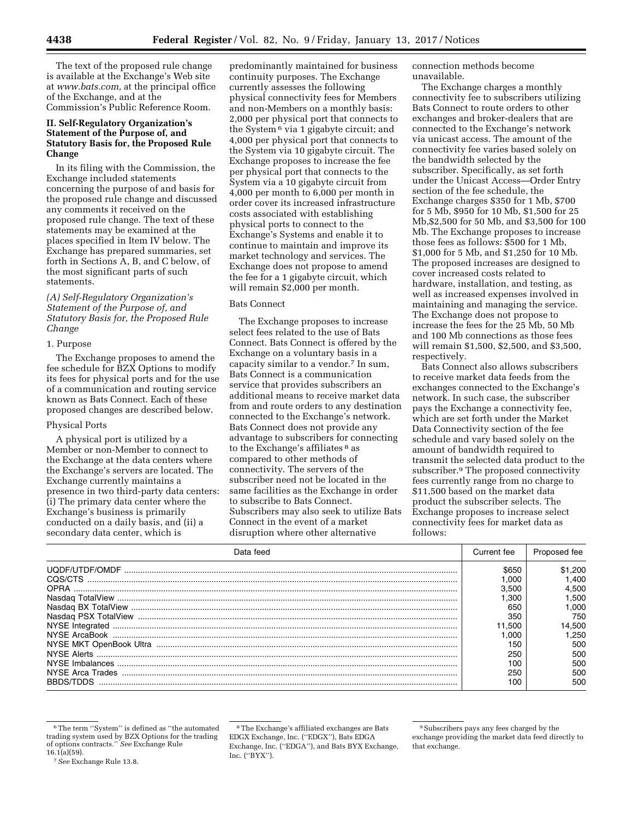The text of the proposed rule change is available at the Exchange's Web site at *[www.bats.com,](http://www.bats.com)* at the principal office of the Exchange, and at the Commission's Public Reference Room.

## **II. Self-Regulatory Organization's Statement of the Purpose of, and Statutory Basis for, the Proposed Rule Change**

In its filing with the Commission, the Exchange included statements concerning the purpose of and basis for the proposed rule change and discussed any comments it received on the proposed rule change. The text of these statements may be examined at the places specified in Item IV below. The Exchange has prepared summaries, set forth in Sections A, B, and C below, of the most significant parts of such statements.

*(A) Self-Regulatory Organization's Statement of the Purpose of, and Statutory Basis for, the Proposed Rule Change* 

#### 1. Purpose

The Exchange proposes to amend the fee schedule for BZX Options to modify its fees for physical ports and for the use of a communication and routing service known as Bats Connect. Each of these proposed changes are described below.

#### Physical Ports

A physical port is utilized by a Member or non-Member to connect to the Exchange at the data centers where the Exchange's servers are located. The Exchange currently maintains a presence in two third-party data centers: (i) The primary data center where the Exchange's business is primarily conducted on a daily basis, and (ii) a secondary data center, which is

predominantly maintained for business continuity purposes. The Exchange currently assesses the following physical connectivity fees for Members and non-Members on a monthly basis: 2,000 per physical port that connects to the System 6 via 1 gigabyte circuit; and 4,000 per physical port that connects to the System via 10 gigabyte circuit. The Exchange proposes to increase the fee per physical port that connects to the System via a 10 gigabyte circuit from 4,000 per month to 6,000 per month in order cover its increased infrastructure costs associated with establishing physical ports to connect to the Exchange's Systems and enable it to continue to maintain and improve its market technology and services. The Exchange does not propose to amend the fee for a 1 gigabyte circuit, which will remain \$2,000 per month.

#### Bats Connect

The Exchange proposes to increase select fees related to the use of Bats Connect. Bats Connect is offered by the Exchange on a voluntary basis in a capacity similar to a vendor.7 In sum, Bats Connect is a communication service that provides subscribers an additional means to receive market data from and route orders to any destination connected to the Exchange's network. Bats Connect does not provide any advantage to subscribers for connecting to the Exchange's affiliates 8 as compared to other methods of connectivity. The servers of the subscriber need not be located in the same facilities as the Exchange in order to subscribe to Bats Connect. Subscribers may also seek to utilize Bats Connect in the event of a market disruption where other alternative

connection methods become unavailable.

The Exchange charges a monthly connectivity fee to subscribers utilizing Bats Connect to route orders to other exchanges and broker-dealers that are connected to the Exchange's network via unicast access. The amount of the connectivity fee varies based solely on the bandwidth selected by the subscriber. Specifically, as set forth under the Unicast Access—Order Entry section of the fee schedule, the Exchange charges \$350 for 1 Mb, \$700 for 5 Mb, \$950 for 10 Mb, \$1,500 for 25 Mb,\$2,500 for 50 Mb, and \$3,500 for 100 Mb. The Exchange proposes to increase those fees as follows: \$500 for 1 Mb, \$1,000 for 5 Mb, and \$1,250 for 10 Mb. The proposed increases are designed to cover increased costs related to hardware, installation, and testing, as well as increased expenses involved in maintaining and managing the service. The Exchange does not propose to increase the fees for the 25 Mb, 50 Mb and 100 Mb connections as those fees will remain \$1,500, \$2,500, and \$3,500, respectively.

Bats Connect also allows subscribers to receive market data feeds from the exchanges connected to the Exchange's network. In such case, the subscriber pays the Exchange a connectivity fee, which are set forth under the Market Data Connectivity section of the fee schedule and vary based solely on the amount of bandwidth required to transmit the selected data product to the subscriber.9 The proposed connectivity fees currently range from no charge to \$11,500 based on the market data product the subscriber selects. The Exchange proposes to increase select connectivity fees for market data as follows:

| Data feed        | Current fee |         |
|------------------|-------------|---------|
|                  | \$650       | \$1.200 |
| COS/CTS          | .000        | .400    |
| <b>OPRA</b>      | 3.500       | 4.500   |
|                  | .300        | .500    |
|                  | 650         | .000    |
|                  | 350         | 750     |
|                  | 1.500       | 14.500  |
|                  | .000        | .250    |
|                  | 150         | 500     |
|                  | 250         | 500     |
|                  | 100         | 500     |
| NYSE Arca Trades | 250         | 500     |
| BBDS/TDDS        | 100         | 500     |

<sup>6</sup>The term ''System'' is defined as ''the automated trading system used by BZX Options for the trading of options contracts.'' *See* Exchange Rule  $16.1(a)(59)$ .

<sup>7</sup>*See* Exchange Rule 13.8.

<sup>8</sup>The Exchange's affiliated exchanges are Bats EDGX Exchange, Inc. (''EDGX''), Bats EDGA Exchange, Inc. (''EDGA''), and Bats BYX Exchange, Inc. (''BYX'').

<sup>9</sup>Subscribers pays any fees charged by the exchange providing the market data feed directly to that exchange.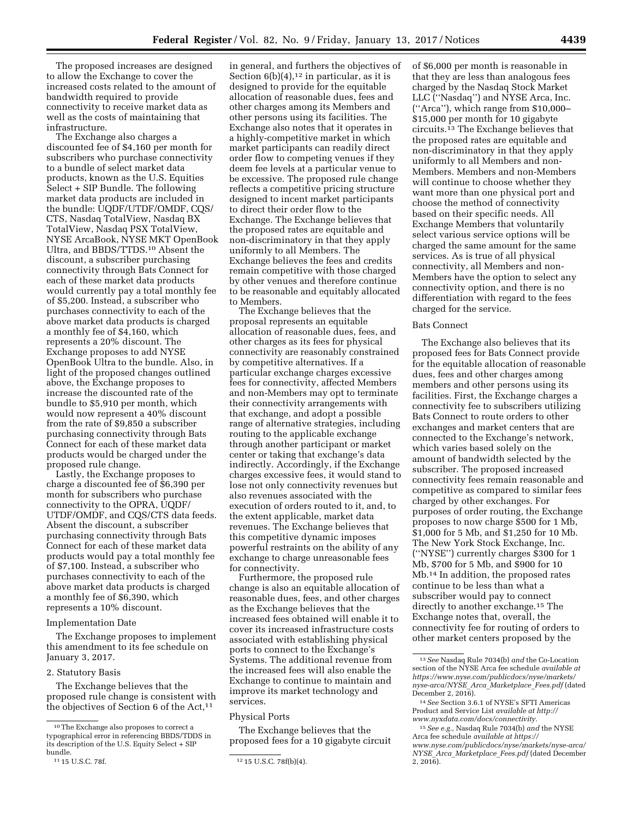The proposed increases are designed to allow the Exchange to cover the increased costs related to the amount of bandwidth required to provide connectivity to receive market data as well as the costs of maintaining that infrastructure.

The Exchange also charges a discounted fee of \$4,160 per month for subscribers who purchase connectivity to a bundle of select market data products, known as the U.S. Equities Select + SIP Bundle. The following market data products are included in the bundle: UQDF/UTDF/OMDF, CQS/ CTS, Nasdaq TotalView, Nasdaq BX TotalView, Nasdaq PSX TotalView, NYSE ArcaBook, NYSE MKT OpenBook Ultra, and BBDS/TTDS.10 Absent the discount, a subscriber purchasing connectivity through Bats Connect for each of these market data products would currently pay a total monthly fee of \$5,200. Instead, a subscriber who purchases connectivity to each of the above market data products is charged a monthly fee of \$4,160, which represents a 20% discount. The Exchange proposes to add NYSE OpenBook Ultra to the bundle. Also, in light of the proposed changes outlined above, the Exchange proposes to increase the discounted rate of the bundle to \$5,910 per month, which would now represent a 40% discount from the rate of \$9,850 a subscriber purchasing connectivity through Bats Connect for each of these market data products would be charged under the proposed rule change.

Lastly, the Exchange proposes to charge a discounted fee of \$6,390 per month for subscribers who purchase connectivity to the OPRA, UQDF/ UTDF/OMDF, and CQS/CTS data feeds. Absent the discount, a subscriber purchasing connectivity through Bats Connect for each of these market data products would pay a total monthly fee of \$7,100. Instead, a subscriber who purchases connectivity to each of the above market data products is charged a monthly fee of \$6,390, which represents a 10% discount.

#### Implementation Date

The Exchange proposes to implement this amendment to its fee schedule on January 3, 2017.

#### 2. Statutory Basis

The Exchange believes that the proposed rule change is consistent with the objectives of Section  $6$  of the Act,<sup>11</sup>

in general, and furthers the objectives of Section  $6(b)(4)$ ,<sup>12</sup> in particular, as it is designed to provide for the equitable allocation of reasonable dues, fees and other charges among its Members and other persons using its facilities. The Exchange also notes that it operates in a highly-competitive market in which market participants can readily direct order flow to competing venues if they deem fee levels at a particular venue to be excessive. The proposed rule change reflects a competitive pricing structure designed to incent market participants to direct their order flow to the Exchange. The Exchange believes that the proposed rates are equitable and non-discriminatory in that they apply uniformly to all Members. The Exchange believes the fees and credits remain competitive with those charged by other venues and therefore continue to be reasonable and equitably allocated to Members.

The Exchange believes that the proposal represents an equitable allocation of reasonable dues, fees, and other charges as its fees for physical connectivity are reasonably constrained by competitive alternatives. If a particular exchange charges excessive fees for connectivity, affected Members and non-Members may opt to terminate their connectivity arrangements with that exchange, and adopt a possible range of alternative strategies, including routing to the applicable exchange through another participant or market center or taking that exchange's data indirectly. Accordingly, if the Exchange charges excessive fees, it would stand to lose not only connectivity revenues but also revenues associated with the execution of orders routed to it, and, to the extent applicable, market data revenues. The Exchange believes that this competitive dynamic imposes powerful restraints on the ability of any exchange to charge unreasonable fees for connectivity.

Furthermore, the proposed rule change is also an equitable allocation of reasonable dues, fees, and other charges as the Exchange believes that the increased fees obtained will enable it to cover its increased infrastructure costs associated with establishing physical ports to connect to the Exchange's Systems. The additional revenue from the increased fees will also enable the Exchange to continue to maintain and improve its market technology and services.

#### Physical Ports

The Exchange believes that the proposed fees for a 10 gigabyte circuit of \$6,000 per month is reasonable in that they are less than analogous fees charged by the Nasdaq Stock Market LLC (''Nasdaq'') and NYSE Arca, Inc. (''Arca''), which range from \$10,000– \$15,000 per month for 10 gigabyte circuits.13 The Exchange believes that the proposed rates are equitable and non-discriminatory in that they apply uniformly to all Members and non-Members. Members and non-Members will continue to choose whether they want more than one physical port and choose the method of connectivity based on their specific needs. All Exchange Members that voluntarily select various service options will be charged the same amount for the same services. As is true of all physical connectivity, all Members and non-Members have the option to select any connectivity option, and there is no differentiation with regard to the fees charged for the service.

## Bats Connect

The Exchange also believes that its proposed fees for Bats Connect provide for the equitable allocation of reasonable dues, fees and other charges among members and other persons using its facilities. First, the Exchange charges a connectivity fee to subscribers utilizing Bats Connect to route orders to other exchanges and market centers that are connected to the Exchange's network, which varies based solely on the amount of bandwidth selected by the subscriber. The proposed increased connectivity fees remain reasonable and competitive as compared to similar fees charged by other exchanges. For purposes of order routing, the Exchange proposes to now charge \$500 for 1 Mb, \$1,000 for 5 Mb, and \$1,250 for 10 Mb. The New York Stock Exchange, Inc. (''NYSE'') currently charges \$300 for 1 Mb, \$700 for 5 Mb, and \$900 for 10 Mb.14 In addition, the proposed rates continue to be less than what a subscriber would pay to connect directly to another exchange.15 The Exchange notes that, overall, the connectivity fee for routing of orders to other market centers proposed by the

<sup>10</sup>The Exchange also proposes to correct a typographical error in referencing BBDS/TDDS in its description of the U.S. Equity Select + SIP bundle.<br><sup>11</sup> 15 U.S.C. 78f.

<sup>12 15</sup> U.S.C. 78f(b)(4).

<sup>13</sup>*See* Nasdaq Rule 7034(b) *and* the Co-Location section of the NYSE Arca fee schedule *available at [https://www.nyse.com/publicdocs/nyse/markets/](https://www.nyse.com/publicdocs/nyse/markets/nyse-arca/NYSE_Arca_Marketplace_Fees.pdf)  [nyse-arca/NYSE](https://www.nyse.com/publicdocs/nyse/markets/nyse-arca/NYSE_Arca_Marketplace_Fees.pdf)*\_*Arca*\_*Marketplace*\_*Fees.pdf* (dated December 2,  $201\overline{6}$ ).

<sup>14</sup>*See* Section 3.6.1 of NYSE's SFTI Americas Product and Service List *available at [http://](http://www.nyxdata.com/docs/connectivity) [www.nyxdata.com/docs/connectivity.](http://www.nyxdata.com/docs/connectivity)* 

<sup>15</sup>*See e.g.,* Nasdaq Rule 7034(b) *and* the NYSE Arca fee schedule *available at [https://](https://www.nyse.com/publicdocs/nyse/markets/nyse-arca/NYSE_Arca_Marketplace_Fees.pdf) [www.nyse.com/publicdocs/nyse/markets/nyse-arca/](https://www.nyse.com/publicdocs/nyse/markets/nyse-arca/NYSE_Arca_Marketplace_Fees.pdf)  NYSE*\_*Arca*\_*[Marketplace](https://www.nyse.com/publicdocs/nyse/markets/nyse-arca/NYSE_Arca_Marketplace_Fees.pdf)*\_*Fees.pdf* (dated December  $2, 201\overline{6}$ ).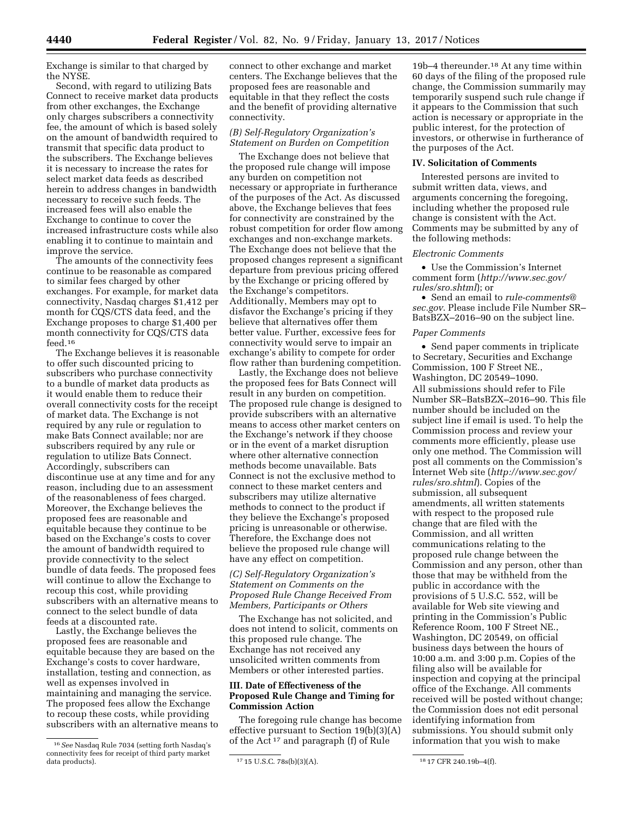Exchange is similar to that charged by the NYSE.

Second, with regard to utilizing Bats Connect to receive market data products from other exchanges, the Exchange only charges subscribers a connectivity fee, the amount of which is based solely on the amount of bandwidth required to transmit that specific data product to the subscribers. The Exchange believes it is necessary to increase the rates for select market data feeds as described herein to address changes in bandwidth necessary to receive such feeds. The increased fees will also enable the Exchange to continue to cover the increased infrastructure costs while also enabling it to continue to maintain and improve the service.

The amounts of the connectivity fees continue to be reasonable as compared to similar fees charged by other exchanges. For example, for market data connectivity, Nasdaq charges \$1,412 per month for CQS/CTS data feed, and the Exchange proposes to charge \$1,400 per month connectivity for CQS/CTS data feed.16

The Exchange believes it is reasonable to offer such discounted pricing to subscribers who purchase connectivity to a bundle of market data products as it would enable them to reduce their overall connectivity costs for the receipt of market data. The Exchange is not required by any rule or regulation to make Bats Connect available; nor are subscribers required by any rule or regulation to utilize Bats Connect. Accordingly, subscribers can discontinue use at any time and for any reason, including due to an assessment of the reasonableness of fees charged. Moreover, the Exchange believes the proposed fees are reasonable and equitable because they continue to be based on the Exchange's costs to cover the amount of bandwidth required to provide connectivity to the select bundle of data feeds. The proposed fees will continue to allow the Exchange to recoup this cost, while providing subscribers with an alternative means to connect to the select bundle of data feeds at a discounted rate.

Lastly, the Exchange believes the proposed fees are reasonable and equitable because they are based on the Exchange's costs to cover hardware, installation, testing and connection, as well as expenses involved in maintaining and managing the service. The proposed fees allow the Exchange to recoup these costs, while providing subscribers with an alternative means to

connect to other exchange and market centers. The Exchange believes that the proposed fees are reasonable and equitable in that they reflect the costs and the benefit of providing alternative connectivity.

# *(B) Self-Regulatory Organization's Statement on Burden on Competition*

The Exchange does not believe that the proposed rule change will impose any burden on competition not necessary or appropriate in furtherance of the purposes of the Act. As discussed above, the Exchange believes that fees for connectivity are constrained by the robust competition for order flow among exchanges and non-exchange markets. The Exchange does not believe that the proposed changes represent a significant departure from previous pricing offered by the Exchange or pricing offered by the Exchange's competitors. Additionally, Members may opt to disfavor the Exchange's pricing if they believe that alternatives offer them better value. Further, excessive fees for connectivity would serve to impair an exchange's ability to compete for order flow rather than burdening competition.

Lastly, the Exchange does not believe the proposed fees for Bats Connect will result in any burden on competition. The proposed rule change is designed to provide subscribers with an alternative means to access other market centers on the Exchange's network if they choose or in the event of a market disruption where other alternative connection methods become unavailable. Bats Connect is not the exclusive method to connect to these market centers and subscribers may utilize alternative methods to connect to the product if they believe the Exchange's proposed pricing is unreasonable or otherwise. Therefore, the Exchange does not believe the proposed rule change will have any effect on competition.

## *(C) Self-Regulatory Organization's Statement on Comments on the Proposed Rule Change Received From Members, Participants or Others*

The Exchange has not solicited, and does not intend to solicit, comments on this proposed rule change. The Exchange has not received any unsolicited written comments from Members or other interested parties.

## **III. Date of Effectiveness of the Proposed Rule Change and Timing for Commission Action**

The foregoing rule change has become effective pursuant to Section 19(b)(3)(A) of the Act<sup>17</sup> and paragraph (f) of Rule

19b–4 thereunder.18 At any time within 60 days of the filing of the proposed rule change, the Commission summarily may temporarily suspend such rule change if it appears to the Commission that such action is necessary or appropriate in the public interest, for the protection of investors, or otherwise in furtherance of the purposes of the Act.

### **IV. Solicitation of Comments**

Interested persons are invited to submit written data, views, and arguments concerning the foregoing, including whether the proposed rule change is consistent with the Act. Comments may be submitted by any of the following methods:

### *Electronic Comments*

• Use the Commission's Internet comment form (*[http://www.sec.gov/](http://www.sec.gov/rules/sro.shtml)  [rules/sro.shtml](http://www.sec.gov/rules/sro.shtml)*); or

• Send an email to *[rule-comments@](mailto:rule-comments@sec.gov) [sec.gov](mailto:rule-comments@sec.gov)*. Please include File Number SR– BatsBZX–2016–90 on the subject line.

#### *Paper Comments*

• Send paper comments in triplicate to Secretary, Securities and Exchange Commission, 100 F Street NE., Washington, DC 20549–1090. All submissions should refer to File Number SR–BatsBZX–2016–90. This file number should be included on the subject line if email is used. To help the Commission process and review your comments more efficiently, please use only one method. The Commission will post all comments on the Commission's Internet Web site (*[http://www.sec.gov/](http://www.sec.gov/rules/sro.shtml)  [rules/sro.shtml](http://www.sec.gov/rules/sro.shtml)*). Copies of the submission, all subsequent amendments, all written statements with respect to the proposed rule change that are filed with the Commission, and all written communications relating to the proposed rule change between the Commission and any person, other than those that may be withheld from the public in accordance with the provisions of 5 U.S.C. 552, will be available for Web site viewing and printing in the Commission's Public Reference Room, 100 F Street NE., Washington, DC 20549, on official business days between the hours of 10:00 a.m. and 3:00 p.m. Copies of the filing also will be available for inspection and copying at the principal office of the Exchange. All comments received will be posted without change; the Commission does not edit personal identifying information from submissions. You should submit only information that you wish to make

<sup>16</sup>*See* Nasdaq Rule 7034 (setting forth Nasdaq's connectivity fees for receipt of third party market

<sup>17 15</sup> U.S.C. 78s(b)(3)(A). 18 17 CFR 240.19b-4(f).